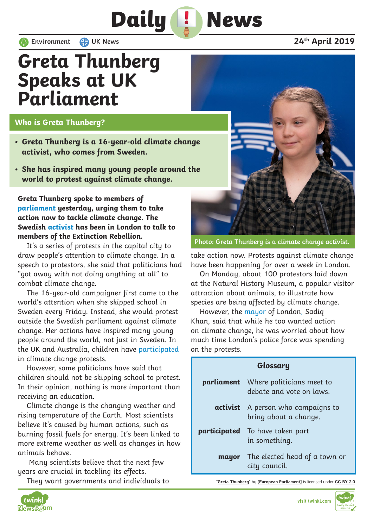## **Greta Thunberg Speaks at UK Parliament**

## **Who is Greta Thunberg?**

- **• Greta Thunberg is a 16-year-old climate change activist, who comes from Sweden.**
- **• She has inspired many young people around the world to protest against climate change.**

**Greta Thunberg spoke to members of parliament yesterday, urging them to take action now to tackle climate change. The Swedish activist has been in London to talk to members of the Extinction Rebellion.**

It's a series of protests in the capital city to draw people's attention to climate change. In a speech to protestors, she said that politicians had "got away with not doing anything at all" to combat climate change.

The 16-year-old campaigner first came to the world's attention when she skipped school in Sweden every Friday. Instead, she would protest outside the Swedish parliament against climate change. Her actions have inspired many young people around the world, not just in Sweden. In the UK and Australia, children have participated in climate change protests.

However, some politicians have said that children should not be skipping school to protest. In their opinion, nothing is more important than receiving an education.

Climate change is the changing weather and rising temperature of the Earth. Most scientists believe it's caused by human actions, such as burning fossil fuels for energy. It's been linked to more extreme weather as well as changes in how animals behave.

 Many scientists believe that the next few years are crucial in tackling its effects.

They want governments and individuals to



**Photo: Greta Thunberg is a climate change activist.**

take action now. Protests against climate change have been happening for over a week in London.

On Monday, about 100 protestors laid down at the Natural History Museum, a popular visitor attraction about animals, to illustrate how species are being affected by climate change.

However, the mayor of London, Sadiq Khan, said that while he too wanted action on climate change, he was worried about how much time London's police force was spending on the protests.

| Glossary |                                                                         |
|----------|-------------------------------------------------------------------------|
|          | <b>parliament</b> Where politicians meet to<br>debate and vote on laws. |
|          | <b>activist</b> A person who campaigns to<br>bring about a change.      |
|          | <b>participated</b> To have taken part<br>in something.                 |
|          | <b>mayor</b> The elected head of a town or<br>city council.             |

"**Greta Thunberg**" by **[European Parliament]** is licensed under **CC BY 2.0**



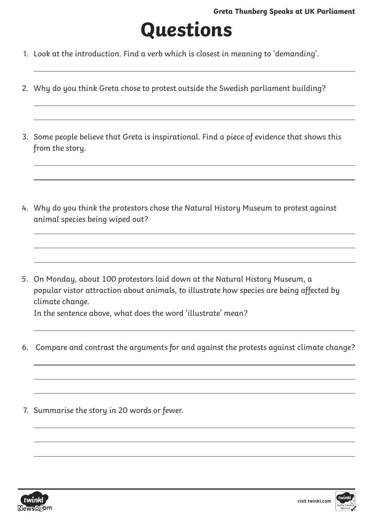## **Questions**

- 1. Look at the introduction. Find a verb which is closest in meaning to 'demanding'.
- 2. Why do you think Greta chose to protest outside the Swedish parliament building?
- 3. Some people believe that Greta is inspirational. Find a piece of evidence that shows this from the story.
- 4. Why do you think the protestors chose the Natural History Museum to protest against animal species being wiped out?
- 5. On Monday, about 100 protestors laid down at the Natural History Museum, a popular vistor attraction about animals, to illustrate how species are being affected by climate change.

In the sentence above, what does the word 'illustrate' mean?

- 6. Compare and contrast the arguments for and against the protests against climate change?
- 7. Summarise the story in 20 words or fewer.